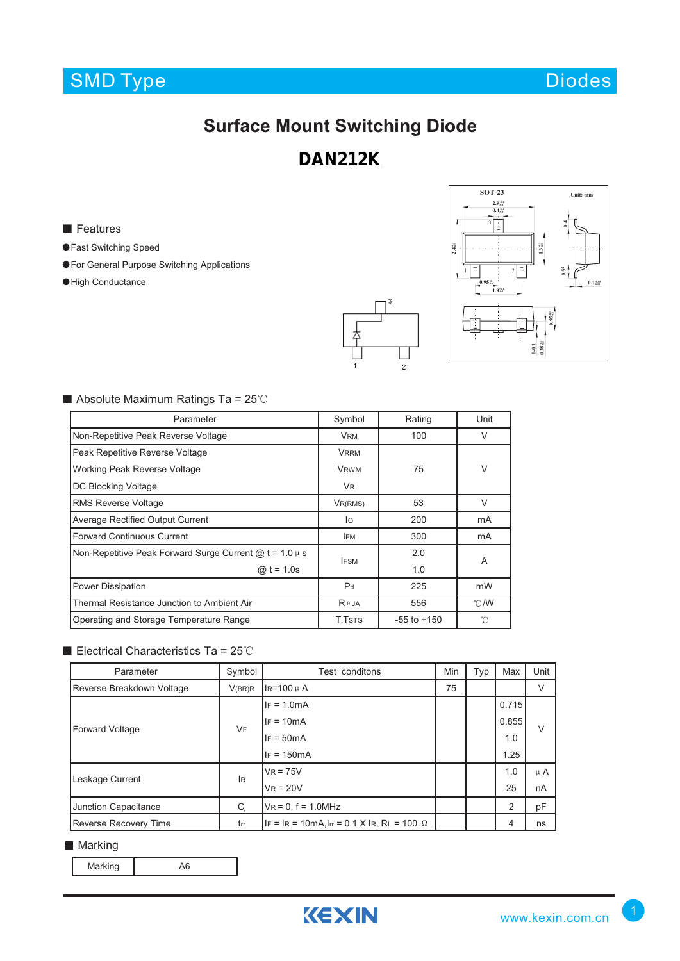## SMD Type Diodes

# **Surface Mount Switching Diode**

### **DAN212K**

#### ■ Features

- ●Fast Switching Speed
- ●For General Purpose Switching Applications
- ●High Conductance





### ■ Absolute Maximum Ratings Ta = 25℃

| Parameter                                                   | Symbol         | Rating          | Unit           |  |
|-------------------------------------------------------------|----------------|-----------------|----------------|--|
| Non-Repetitive Peak Reverse Voltage                         | <b>VRM</b>     | 100             | $\vee$         |  |
| Peak Repetitive Reverse Voltage                             | <b>VRRM</b>    |                 |                |  |
| Working Peak Reverse Voltage                                | <b>VRWM</b>    | 75              | V              |  |
| DC Blocking Voltage                                         | VR.            |                 |                |  |
| <b>RMS Reverse Voltage</b>                                  | VR(RMS)        | 53              | V              |  |
| <b>Average Rectified Output Current</b>                     | lo             | 200             | mA             |  |
| <b>Forward Continuous Current</b>                           | <b>IFM</b>     | 300             | mA             |  |
| Non-Repetitive Peak Forward Surge Current $@ t = 1.0 \mu s$ | <b>IFSM</b>    | 2.0             | A              |  |
| @ $t = 1.0s$                                                |                | 1.0             |                |  |
| <b>Power Dissipation</b>                                    | P <sub>d</sub> | 225             | mW             |  |
| Thermal Resistance Junction to Ambient Air                  | $R \theta$ JA  | 556             | $^{\circ}$ C/W |  |
| Operating and Storage Temperature Range                     | T.TstG         | $-55$ to $+150$ | °C             |  |

#### ■ Electrical Characteristics Ta = 25℃

| Parameter                    | Symbol | Test conditons                                              | Min | Typ | Max   | Unit    |  |
|------------------------------|--------|-------------------------------------------------------------|-----|-----|-------|---------|--|
| Reverse Breakdown Voltage    | V(BR)R | IR=100 µ A                                                  | 75  |     |       |         |  |
| Forward Voltage              | VF     | $IF = 1.0mA$                                                |     |     | 0.715 |         |  |
|                              |        | $IF = 10mA$                                                 |     |     | 0.855 | V       |  |
|                              |        | $IF = 50mA$                                                 |     |     | 1.0   |         |  |
|                              |        | $IF = 150mA$                                                |     |     | 1.25  |         |  |
| Leakage Current<br><b>IR</b> |        | $V_R = 75V$                                                 |     |     | 1.0   | $\mu$ A |  |
|                              |        | $V_R = 20V$                                                 |     |     | 25    | nA      |  |
| Junction Capacitance         | Ci     | $V_R = 0$ , $f = 1.0$ MHz                                   |     |     | 2     | pF      |  |
| <b>Reverse Recovery Time</b> | trr    | $ F  =  R  = 10$ mA, $ F  = 0.1$ X $ R$ , RL = 100 $\Omega$ |     |     | 4     | ns      |  |

#### **Marking**

Marking | A6

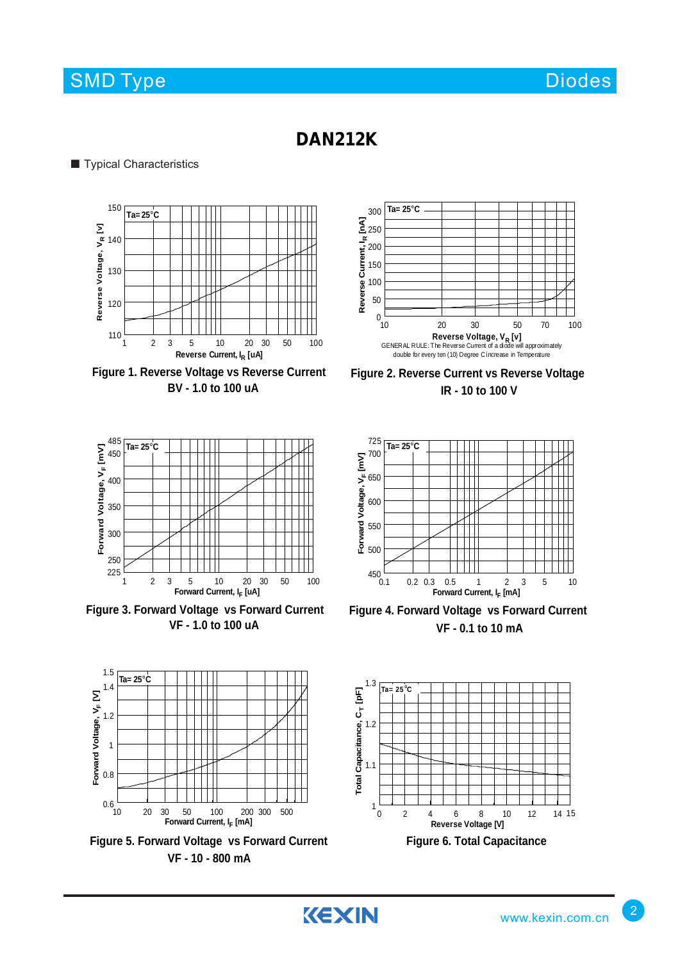### SMD Type Diodes and Diodes Diodes Diodes and Diodes Diodes and Diodes and Diodes and Diodes Diodes and Diodes

### **DAN212K**

#### ■ Typical Characteristics







**Figure 3. Forward Voltage vs Forward Current VF - 1.0 to 100 uA**





KEXIN







**Figure 4. Forward Voltage vs Forward Current VF - 0.1 to 10 mA**



2